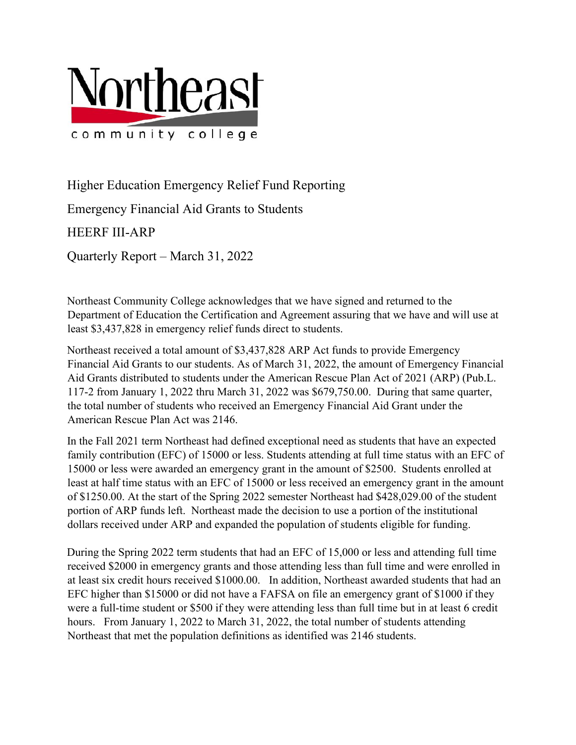

Higher Education Emergency Relief Fund Reporting

Emergency Financial Aid Grants to Students

HEERF III-ARP

Quarterly Report – March 31, 2022

Northeast Community College acknowledges that we have signed and returned to the Department of Education the Certification and Agreement assuring that we have and will use at least \$3,437,828 in emergency relief funds direct to students.

Northeast received a total amount of \$3,437,828 ARP Act funds to provide Emergency Financial Aid Grants to our students. As of March 31, 2022, the amount of Emergency Financial Aid Grants distributed to students under the American Rescue Plan Act of 2021 (ARP) (Pub.L. 117-2 from January 1, 2022 thru March 31, 2022 was \$679,750.00. During that same quarter, the total number of students who received an Emergency Financial Aid Grant under the American Rescue Plan Act was 2146.

In the Fall 2021 term Northeast had defined exceptional need as students that have an expected family contribution (EFC) of 15000 or less. Students attending at full time status with an EFC of 15000 or less were awarded an emergency grant in the amount of \$2500. Students enrolled at least at half time status with an EFC of 15000 or less received an emergency grant in the amount of \$1250.00. At the start of the Spring 2022 semester Northeast had \$428,029.00 of the student portion of ARP funds left. Northeast made the decision to use a portion of the institutional dollars received under ARP and expanded the population of students eligible for funding.

During the Spring 2022 term students that had an EFC of 15,000 or less and attending full time received \$2000 in emergency grants and those attending less than full time and were enrolled in at least six credit hours received \$1000.00. In addition, Northeast awarded students that had an EFC higher than \$15000 or did not have a FAFSA on file an emergency grant of \$1000 if they were a full-time student or \$500 if they were attending less than full time but in at least 6 credit hours. From January 1, 2022 to March 31, 2022, the total number of students attending Northeast that met the population definitions as identified was 2146 students.